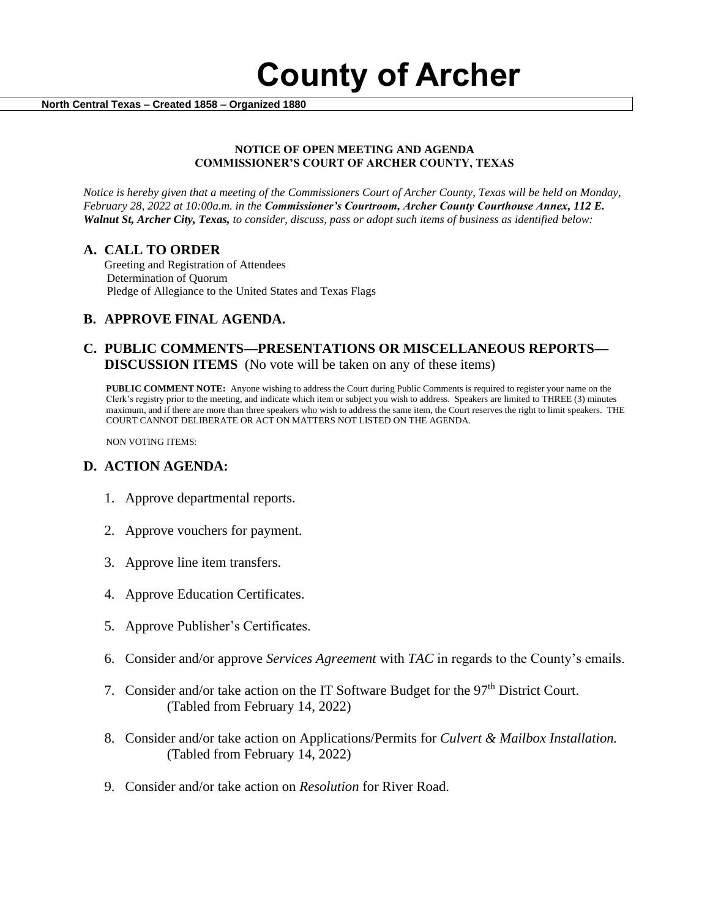

 **North Central Texas – Created 1858 – Organized 1880**

#### **NOTICE OF OPEN MEETING AND AGENDA COMMISSIONER'S COURT OF ARCHER COUNTY, TEXAS**

*Notice is hereby given that a meeting of the Commissioners Court of Archer County, Texas will be held on Monday, February 28, 2022 at 10:00a.m. in the Commissioner's Courtroom, Archer County Courthouse Annex, 112 E. Walnut St, Archer City, Texas, to consider, discuss, pass or adopt such items of business as identified below:*

#### **A. CALL TO ORDER**

 Greeting and Registration of Attendees Determination of Quorum Pledge of Allegiance to the United States and Texas Flags

### **B. APPROVE FINAL AGENDA.**

### **C. PUBLIC COMMENTS—PRESENTATIONS OR MISCELLANEOUS REPORTS— DISCUSSION ITEMS** (No vote will be taken on any of these items)

**PUBLIC COMMENT NOTE:** Anyone wishing to address the Court during Public Comments is required to register your name on the Clerk's registry prior to the meeting, and indicate which item or subject you wish to address. Speakers are limited to THREE (3) minutes maximum, and if there are more than three speakers who wish to address the same item, the Court reserves the right to limit speakers. THE COURT CANNOT DELIBERATE OR ACT ON MATTERS NOT LISTED ON THE AGENDA.

NON VOTING ITEMS:

### **D. ACTION AGENDA:**

- 1. Approve departmental reports.
- 2. Approve vouchers for payment.
- 3. Approve line item transfers.
- 4. Approve Education Certificates.
- 5. Approve Publisher's Certificates.
- 6. Consider and/or approve *Services Agreement* with *TAC* in regards to the County's emails.
- 7. Consider and/or take action on the IT Software Budget for the 97<sup>th</sup> District Court. (Tabled from February 14, 2022)
- 8. Consider and/or take action on Applications/Permits for *Culvert & Mailbox Installation.* (Tabled from February 14, 2022)
- 9. Consider and/or take action on *Resolution* for River Road.